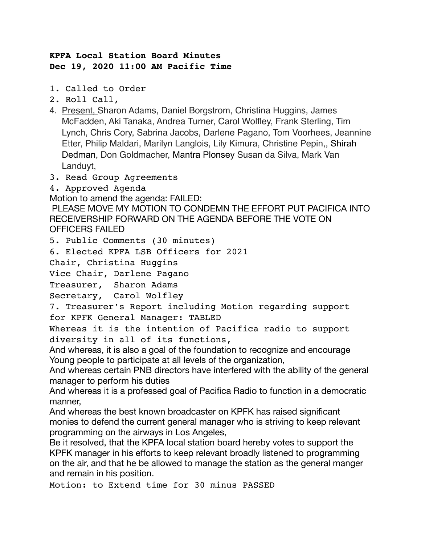## **KPFA Local Station Board Minutes Dec 19, 2020 11:00 AM Pacific Time**

- 1. Called to Order
- 2. Roll Call,
- 4. Present, Sharon Adams, Daniel Borgstrom, Christina Huggins, James McFadden, Aki Tanaka, Andrea Turner, Carol Wolfley, Frank Sterling, Tim Lynch, Chris Cory, Sabrina Jacobs, Darlene Pagano, Tom Voorhees, Jeannine Etter, Philip Maldari, Marilyn Langlois, Lily Kimura, Christine Pepin,, Shirah Dedman, Don Goldmacher, Mantra Plonsey Susan da Silva, Mark Van Landuyt,
- 3. Read Group Agreements
- 4. Approved Agenda

Motion to amend the agenda: FAILED:

 PLEASE MOVE MY MOTION TO CONDEMN THE EFFORT PUT PACIFICA INTO RECEIVERSHIP FORWARD ON THE AGENDA BEFORE THE VOTE ON OFFICERS FAILED

5. Public Comments (30 minutes)

6. Elected KPFA LSB Officers for 2021

Chair, Christina Huggins

Vice Chair, Darlene Pagano

Treasurer, Sharon Adams

Secretary, Carol Wolfley

7. Treasurer's Report including Motion regarding support for KPFK General Manager: TABLED

Whereas it is the intention of Pacifica radio to support diversity in all of its functions,

And whereas, it is also a goal of the foundation to recognize and encourage Young people to participate at all levels of the organization,

And whereas certain PNB directors have interfered with the ability of the general manager to perform his duties

And whereas it is a professed goal of Pacifica Radio to function in a democratic manner,

And whereas the best known broadcaster on KPFK has raised significant monies to defend the current general manager who is striving to keep relevant programming on the airways in Los Angeles,

Be it resolved, that the KPFA local station board hereby votes to support the KPFK manager in his efforts to keep relevant broadly listened to programming on the air, and that he be allowed to manage the station as the general manger and remain in his position.

Motion: to Extend time for 30 minus PASSED